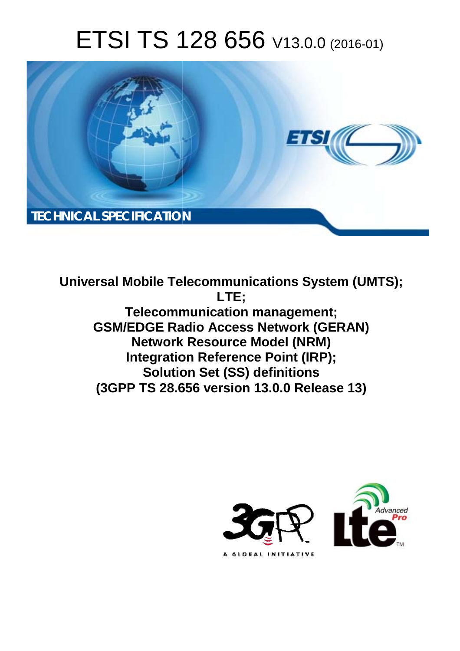# ETSI TS 128 656 V13.0.0 (2016-01)



**Universal Mobile Tel elecommunications System ( (UMTS); Telecomm munication management; GSM/EDGE Radio Access Network (GERAN) Network Resource Model (NRM) Integration Reference Point (IRP); Solutio tion Set (SS) definitions (3GPP TS 28.6 .656 version 13.0.0 Release 13 13) LTE;** 

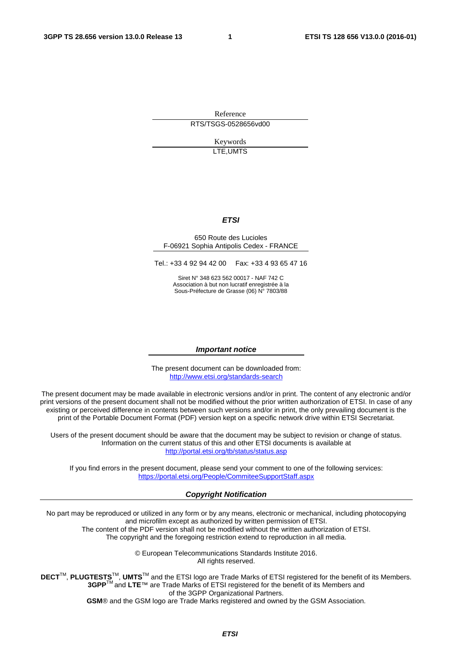Reference RTS/TSGS-0528656vd00

> Keywords LTE,UMTS

#### *ETSI*

#### 650 Route des Lucioles F-06921 Sophia Antipolis Cedex - FRANCE

Tel.: +33 4 92 94 42 00 Fax: +33 4 93 65 47 16

Siret N° 348 623 562 00017 - NAF 742 C Association à but non lucratif enregistrée à la Sous-Préfecture de Grasse (06) N° 7803/88

#### *Important notice*

The present document can be downloaded from: <http://www.etsi.org/standards-search>

The present document may be made available in electronic versions and/or in print. The content of any electronic and/or print versions of the present document shall not be modified without the prior written authorization of ETSI. In case of any existing or perceived difference in contents between such versions and/or in print, the only prevailing document is the print of the Portable Document Format (PDF) version kept on a specific network drive within ETSI Secretariat.

Users of the present document should be aware that the document may be subject to revision or change of status. Information on the current status of this and other ETSI documents is available at <http://portal.etsi.org/tb/status/status.asp>

If you find errors in the present document, please send your comment to one of the following services: <https://portal.etsi.org/People/CommiteeSupportStaff.aspx>

#### *Copyright Notification*

No part may be reproduced or utilized in any form or by any means, electronic or mechanical, including photocopying and microfilm except as authorized by written permission of ETSI.

The content of the PDF version shall not be modified without the written authorization of ETSI. The copyright and the foregoing restriction extend to reproduction in all media.

> © European Telecommunications Standards Institute 2016. All rights reserved.

**DECT**TM, **PLUGTESTS**TM, **UMTS**TM and the ETSI logo are Trade Marks of ETSI registered for the benefit of its Members. **3GPP**TM and **LTE**™ are Trade Marks of ETSI registered for the benefit of its Members and of the 3GPP Organizational Partners.

**GSM**® and the GSM logo are Trade Marks registered and owned by the GSM Association.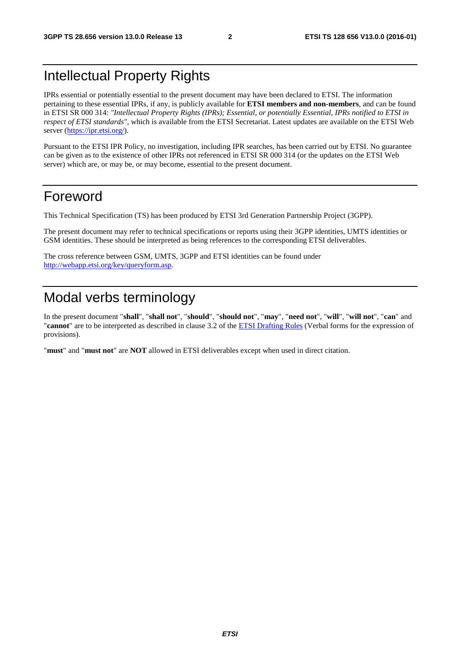# Intellectual Property Rights

IPRs essential or potentially essential to the present document may have been declared to ETSI. The information pertaining to these essential IPRs, if any, is publicly available for **ETSI members and non-members**, and can be found in ETSI SR 000 314: *"Intellectual Property Rights (IPRs); Essential, or potentially Essential, IPRs notified to ETSI in respect of ETSI standards"*, which is available from the ETSI Secretariat. Latest updates are available on the ETSI Web server [\(https://ipr.etsi.org/\)](https://ipr.etsi.org/).

Pursuant to the ETSI IPR Policy, no investigation, including IPR searches, has been carried out by ETSI. No guarantee can be given as to the existence of other IPRs not referenced in ETSI SR 000 314 (or the updates on the ETSI Web server) which are, or may be, or may become, essential to the present document.

### Foreword

This Technical Specification (TS) has been produced by ETSI 3rd Generation Partnership Project (3GPP).

The present document may refer to technical specifications or reports using their 3GPP identities, UMTS identities or GSM identities. These should be interpreted as being references to the corresponding ETSI deliverables.

The cross reference between GSM, UMTS, 3GPP and ETSI identities can be found under [http://webapp.etsi.org/key/queryform.asp.](http://webapp.etsi.org/key/queryform.asp)

# Modal verbs terminology

In the present document "**shall**", "**shall not**", "**should**", "**should not**", "**may**", "**need not**", "**will**", "**will not**", "**can**" and "**cannot**" are to be interpreted as described in clause 3.2 of the [ETSI Drafting Rules](http://portal.etsi.org/Help/editHelp!/Howtostart/ETSIDraftingRules.aspx) (Verbal forms for the expression of provisions).

"**must**" and "**must not**" are **NOT** allowed in ETSI deliverables except when used in direct citation.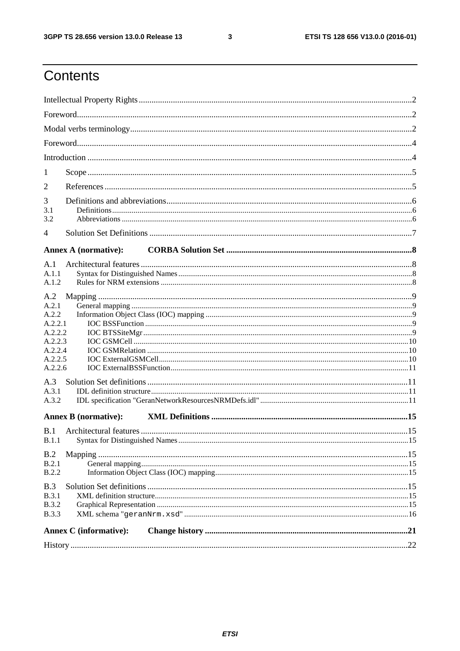$\mathbf{3}$ 

# Contents

| 1                  |                               |  |
|--------------------|-------------------------------|--|
| 2                  |                               |  |
| 3                  |                               |  |
| 3.1                |                               |  |
| 3.2                |                               |  |
| 4                  |                               |  |
|                    | <b>Annex A (normative):</b>   |  |
| A.1                |                               |  |
| A.1.1              |                               |  |
| A.1.2              |                               |  |
| A.2<br>A.2.1       |                               |  |
| A.2.2              |                               |  |
| A.2.2.1            |                               |  |
| A.2.2.2            |                               |  |
| A.2.2.3<br>A.2.2.4 |                               |  |
| A.2.2.5            |                               |  |
| A.2.2.6            |                               |  |
| A.3                |                               |  |
| A.3.1              |                               |  |
| A.3.2              |                               |  |
|                    | <b>Annex B</b> (normative):   |  |
| B.1                |                               |  |
| B.1.1              |                               |  |
|                    |                               |  |
| B.2<br>B.2.1       |                               |  |
| <b>B.2.2</b>       |                               |  |
| B.3                |                               |  |
| <b>B.3.1</b>       |                               |  |
| <b>B.3.2</b>       |                               |  |
| <b>B.3.3</b>       |                               |  |
|                    | <b>Annex C</b> (informative): |  |
|                    |                               |  |
|                    |                               |  |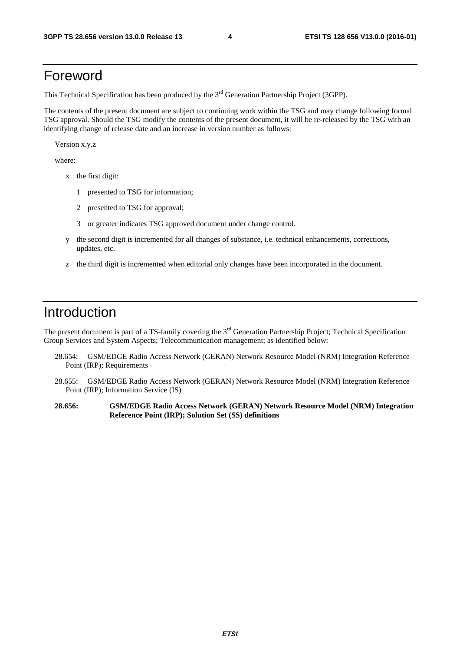### Foreword

This Technical Specification has been produced by the 3<sup>rd</sup> Generation Partnership Project (3GPP).

The contents of the present document are subject to continuing work within the TSG and may change following formal TSG approval. Should the TSG modify the contents of the present document, it will be re-released by the TSG with an identifying change of release date and an increase in version number as follows:

Version x.y.z

where:

- x the first digit:
	- 1 presented to TSG for information;
	- 2 presented to TSG for approval;
	- 3 or greater indicates TSG approved document under change control.
- y the second digit is incremented for all changes of substance, i.e. technical enhancements, corrections, updates, etc.
- z the third digit is incremented when editorial only changes have been incorporated in the document.

### Introduction

The present document is part of a TS-family covering the 3<sup>rd</sup> Generation Partnership Project; Technical Specification Group Services and System Aspects; Telecommunication management; as identified below:

- 28.654: GSM/EDGE Radio Access Network (GERAN) Network Resource Model (NRM) Integration Reference Point (IRP); Requirements
- 28.655: GSM/EDGE Radio Access Network (GERAN) Network Resource Model (NRM) Integration Reference Point (IRP); Information Service (IS)
- **28.656: GSM/EDGE Radio Access Network (GERAN) Network Resource Model (NRM) Integration Reference Point (IRP); Solution Set (SS) definitions**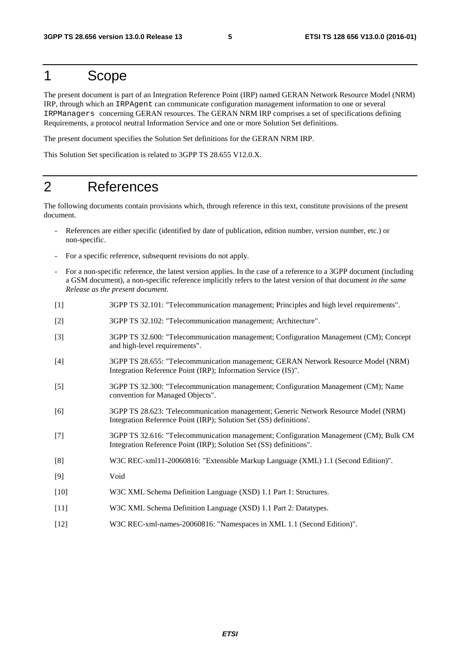### 1 Scope

The present document is part of an Integration Reference Point (IRP) named GERAN Network Resource Model (NRM) IRP, through which an IRPAgent can communicate configuration management information to one or several IRPManagers concerning GERAN resources. The GERAN NRM IRP comprises a set of specifications defining Requirements, a protocol neutral Information Service and one or more Solution Set definitions.

The present document specifies the Solution Set definitions for the GERAN NRM IRP.

This Solution Set specification is related to 3GPP TS 28.655 V12.0.X.

# 2 References

The following documents contain provisions which, through reference in this text, constitute provisions of the present document.

- References are either specific (identified by date of publication, edition number, version number, etc.) or non-specific.
- For a specific reference, subsequent revisions do not apply.
- For a non-specific reference, the latest version applies. In the case of a reference to a 3GPP document (including a GSM document), a non-specific reference implicitly refers to the latest version of that document *in the same Release as the present document*.
- [1] 3GPP TS 32.101: "Telecommunication management; Principles and high level requirements".
- [2] 3GPP TS 32.102: "Telecommunication management; Architecture".
- [3] 3GPP TS 32.600: "Telecommunication management; Configuration Management (CM); Concept and high-level requirements".
- [4] 3GPP TS 28.655: "Telecommunication management; GERAN Network Resource Model (NRM) Integration Reference Point (IRP); Information Service (IS)".
- [5] 3GPP TS 32.300: "Telecommunication management; Configuration Management (CM); Name convention for Managed Objects".
- [6] 3GPP TS 28.623: 'Telecommunication management; Generic Network Resource Model (NRM) Integration Reference Point (IRP); Solution Set (SS) definitions'.
- [7] 3GPP TS 32.616: "Telecommunication management; Configuration Management (CM); Bulk CM Integration Reference Point (IRP); Solution Set (SS) definitions".
- [8] W3C REC-xml11-20060816: "Extensible Markup Language (XML) 1.1 (Second Edition)".
- [9] Void
- [10] W3C XML Schema Definition Language (XSD) 1.1 Part 1: Structures.
- [11] W3C XML Schema Definition Language (XSD) 1.1 Part 2: Datatypes.
- [12] W3C REC-xml-names-20060816: "Namespaces in XML 1.1 (Second Edition)".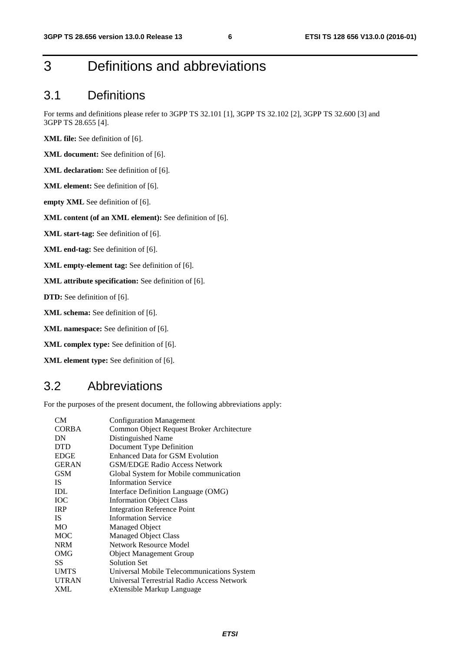# 3 Definitions and abbreviations

#### 3.1 Definitions

For terms and definitions please refer to 3GPP TS 32.101 [1], 3GPP TS 32.102 [2], 3GPP TS 32.600 [3] and 3GPP TS 28.655 [4].

**XML file:** See definition of [6].

**XML document:** See definition of [6].

**XML declaration:** See definition of [6].

**XML element:** See definition of [6].

**empty XML** See definition of [6].

**XML content (of an XML element):** See definition of [6].

**XML start-tag:** See definition of [6].

**XML end-tag:** See definition of [6].

**XML empty-element tag:** See definition of [6].

**XML attribute specification:** See definition of [6].

**DTD:** See definition of [6].

**XML schema:** See definition of [6].

**XML namespace:** See definition of [6].

**XML complex type:** See definition of [6].

**XML element type:** See definition of [6].

#### 3.2 Abbreviations

For the purposes of the present document, the following abbreviations apply:

| CM.          | <b>Configuration Management</b>            |
|--------------|--------------------------------------------|
| <b>CORBA</b> | Common Object Request Broker Architecture  |
| DN           | Distinguished Name                         |
| <b>DTD</b>   | Document Type Definition                   |
| <b>EDGE</b>  | <b>Enhanced Data for GSM Evolution</b>     |
| <b>GERAN</b> | <b>GSM/EDGE Radio Access Network</b>       |
| GSM          | Global System for Mobile communication     |
| <b>IS</b>    | <b>Information Service</b>                 |
| <b>IDL</b>   | Interface Definition Language (OMG)        |
| <b>IOC</b>   | <b>Information Object Class</b>            |
| <b>IRP</b>   | <b>Integration Reference Point</b>         |
| IS.          | <b>Information Service</b>                 |
| <b>MO</b>    | Managed Object                             |
| <b>MOC</b>   | <b>Managed Object Class</b>                |
| <b>NRM</b>   | Network Resource Model                     |
| OMG          | <b>Object Management Group</b>             |
| SS           | <b>Solution Set</b>                        |
| <b>UMTS</b>  | Universal Mobile Telecommunications System |
| <b>UTRAN</b> | Universal Terrestrial Radio Access Network |
| <b>XML</b>   | eXtensible Markup Language                 |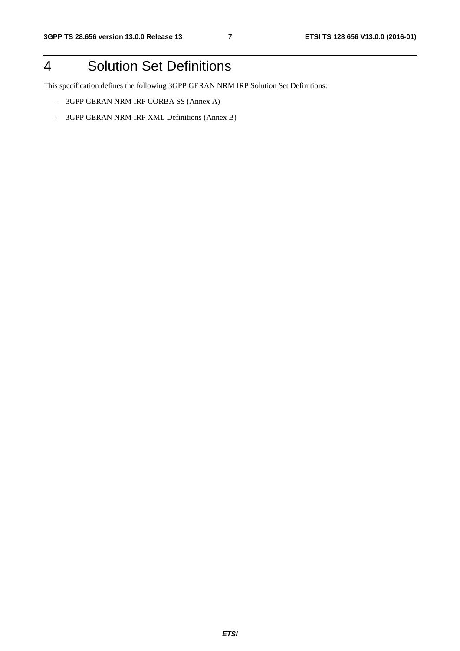# 4 Solution Set Definitions

This specification defines the following 3GPP GERAN NRM IRP Solution Set Definitions:

- 3GPP GERAN NRM IRP CORBA SS (Annex A)
- 3GPP GERAN NRM IRP XML Definitions (Annex B)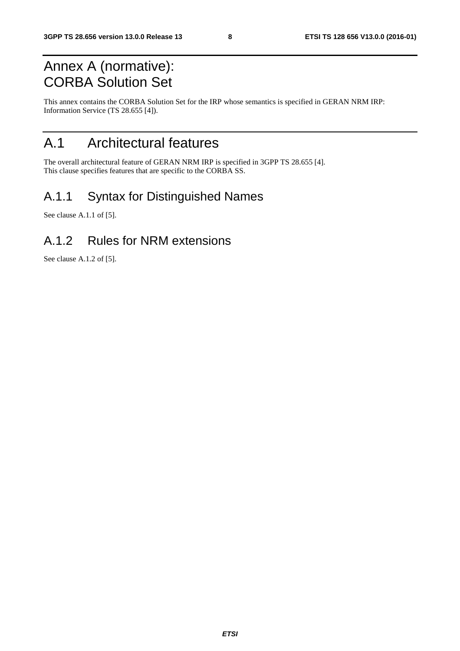# Annex A (normative): CORBA Solution Set

This annex contains the CORBA Solution Set for the IRP whose semantics is specified in GERAN NRM IRP: Information Service (TS 28.655 [4]).

# A.1 Architectural features

The overall architectural feature of GERAN NRM IRP is specified in 3GPP TS 28.655 [4]. This clause specifies features that are specific to the CORBA SS.

# A.1.1 Syntax for Distinguished Names

See clause A.1.1 of [5].

### A.1.2 Rules for NRM extensions

See clause A.1.2 of [5].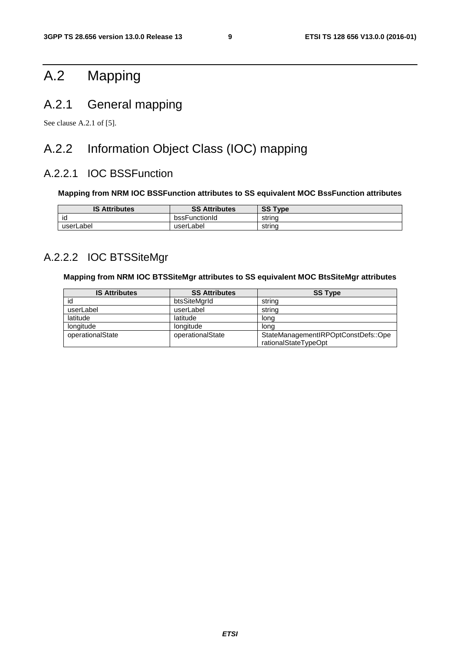# A.2 Mapping

### A.2.1 General mapping

See clause A.2.1 of [5].

# A.2.2 Information Object Class (IOC) mapping

#### A.2.2.1 IOC BSSFunction

#### **Mapping from NRM IOC BSSFunction attributes to SS equivalent MOC BssFunction attributes**

| IS<br><b>Attributes</b> | <b>SS Attributes</b> | <b>SS Type</b> |
|-------------------------|----------------------|----------------|
| id                      | bssFunctionId        | strina         |
| userLabel               | userLabel            | strina         |

#### A.2.2.2 IOC BTSSiteMgr

#### **Mapping from NRM IOC BTSSiteMgr attributes to SS equivalent MOC BtsSiteMgr attributes**

| <b>IS Attributes</b> | <b>SS Attributes</b> | <b>SS Type</b>                                              |
|----------------------|----------------------|-------------------------------------------------------------|
| id                   | btsSiteMarId         | string                                                      |
| userLabel            | userLabel            | strina                                                      |
| latitude             | latitude             | long                                                        |
| longitude            | longitude            | lona                                                        |
| operationalState     | operationalState     | StateManagementIRPOptConstDefs::Ope<br>rationalStateTypeOpt |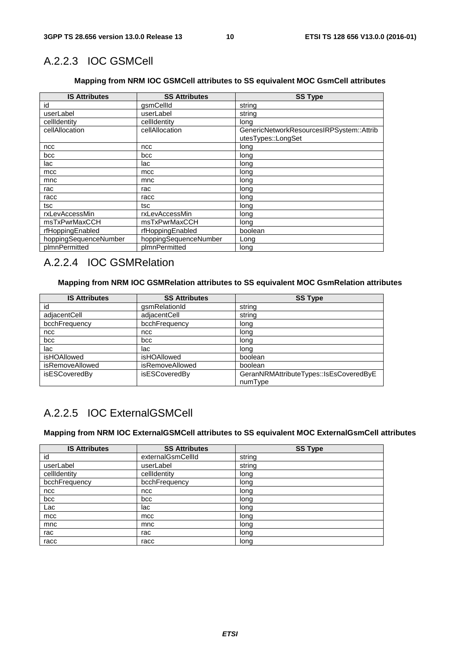### A.2.2.3 IOC GSMCell

#### **Mapping from NRM IOC GSMCell attributes to SS equivalent MOC GsmCell attributes**

| <b>IS Attributes</b>  | <b>SS Attributes</b>  | <b>SS Type</b>                           |
|-----------------------|-----------------------|------------------------------------------|
| id                    | gsmCellId             | string                                   |
| userLabel             | userLabel             | string                                   |
| cellIdentity          | cellIdentity          | long                                     |
| cellAllocation        | cellAllocation        | GenericNetworkResourcesIRPSystem::Attrib |
|                       |                       | utesTypes::LongSet                       |
| ncc                   | ncc                   | long                                     |
| bcc                   | bcc                   | long                                     |
| lac                   | lac                   | long                                     |
| mcc                   | mcc                   | long                                     |
| mnc                   | mnc                   | long                                     |
| rac                   | rac                   | long                                     |
| racc                  | racc                  | long                                     |
| tsc                   | tsc                   | long                                     |
| rxLevAccessMin        | rxLevAccessMin        | long                                     |
| msTxPwrMaxCCH         | msTxPwrMaxCCH         | long                                     |
| rfHoppingEnabled      | rfHoppingEnabled      | boolean                                  |
| hoppingSequenceNumber | hoppingSequenceNumber | Long                                     |
| plmnPermitted         | plmnPermitted         | long                                     |

### A.2.2.4 IOC GSMRelation

#### **Mapping from NRM IOC GSMRelation attributes to SS equivalent MOC GsmRelation attributes**

| <b>IS Attributes</b> | <b>SS Attributes</b>   | <b>SS Type</b>                         |
|----------------------|------------------------|----------------------------------------|
| id                   | gsmRelationId          | string                                 |
| adjacentCell         | adjacentCell           | string                                 |
| bcchFrequency        | bcchFrequency          | long                                   |
| ncc                  | ncc                    | long                                   |
| bcc                  | bcc                    | long                                   |
| lac                  | lac                    | lona                                   |
| isHOAllowed          | isHOAllowed            | boolean                                |
| isRemoveAllowed      | <i>isRemoveAllowed</i> | boolean                                |
| isESCoveredBy        | isESCoveredBy          | GeranNRMAttributeTypes::IsEsCoveredByE |
|                      |                        | numType                                |

### A.2.2.5 IOC ExternalGSMCell

#### **Mapping from NRM IOC ExternalGSMCell attributes to SS equivalent MOC ExternalGsmCell attributes**

| <b>IS Attributes</b> | <b>SS Attributes</b> | <b>SS Type</b> |
|----------------------|----------------------|----------------|
| id                   | externalGsmCellId    | string         |
| userLabel            | userLabel            | string         |
| cellidentity         | cellIdentity         | long           |
| bcchFrequency        | bcchFrequency        | long           |
| ncc                  | ncc                  | long           |
| bcc                  | bcc                  | long           |
| Lac                  | lac                  | long           |
| mcc                  | mcc                  | long           |
| mnc                  | mnc                  | long           |
| rac                  | rac                  | long           |
| racc                 | racc                 | long           |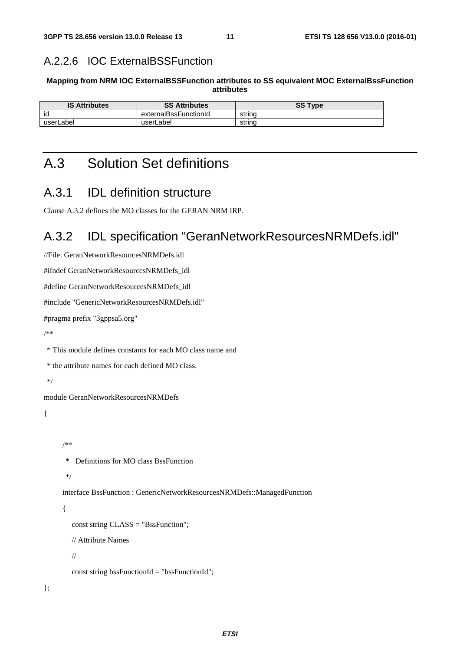#### A.2.2.6 IOC ExternalBSSFunction

#### **Mapping from NRM IOC ExternalBSSFunction attributes to SS equivalent MOC ExternalBssFunction attributes**

| <b>IS Attributes</b> | <b>SS Attributes</b>  | <b>SS Type</b> |
|----------------------|-----------------------|----------------|
| id                   | externalBssFunctionId | strina         |
| userLabel            | userLabel             | strina         |

# A.3 Solution Set definitions

#### A.3.1 IDL definition structure

Clause A.3.2 defines the MO classes for the GERAN NRM IRP.

### A.3.2 IDL specification "GeranNetworkResourcesNRMDefs.idl"

```
//File: GeranNetworkResourcesNRMDefs.idl
```
#ifndef GeranNetworkResourcesNRMDefs\_idl

#define GeranNetworkResourcesNRMDefs\_idl

#include "GenericNetworkResourcesNRMDefs.idl"

#pragma prefix "3gppsa5.org"

/\*\*

\* This module defines constants for each MO class name and

\* the attribute names for each defined MO class.

\*/

module GeranNetworkResourcesNRMDefs

{

/\*\*

\* Definitions for MO class BssFunction

\*/

interface BssFunction : GenericNetworkResourcesNRMDefs::ManagedFunction

{

const string CLASS = "BssFunction";

// Attribute Names

//

const string bssFunctionId = "bssFunctionId";

};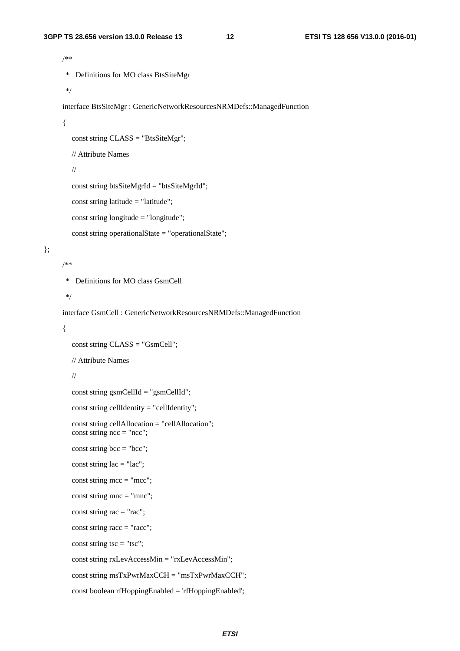};

```
 /** 
  * Definitions for MO class BtsSiteMgr 
  */ 
 interface BtsSiteMgr : GenericNetworkResourcesNRMDefs::ManagedFunction 
 { 
    const string CLASS = "BtsSiteMgr"; 
    // Attribute Names 
    // 
    const string btsSiteMgrId = "btsSiteMgrId"; 
    const string latitude = "latitude"; 
   const string longitude = "longitude";
    const string operationalState = "operationalState"; 
 /** 
  * Definitions for MO class GsmCell 
  */ 
 interface GsmCell : GenericNetworkResourcesNRMDefs::ManagedFunction 
 { 
    const string CLASS = "GsmCell"; 
    // Attribute Names 
    // 
    const string gsmCellId = "gsmCellId"; 
    const string cellIdentity = "cellIdentity"; 
    const string cellAllocation = "cellAllocation"; 
   const string ncc = "ncc";const string bcc = "bcc";const string lac = "lac";const string mcc = "mcc";
   const string mnc = "mnc";const string rac = "rac";
   const string racc = "racc";
   const string tsc = "tsc";
    const string rxLevAccessMin = "rxLevAccessMin"; 
    const string msTxPwrMaxCCH = "msTxPwrMaxCCH"; 
    const boolean rfHoppingEnabled = 'rfHoppingEnabled';
```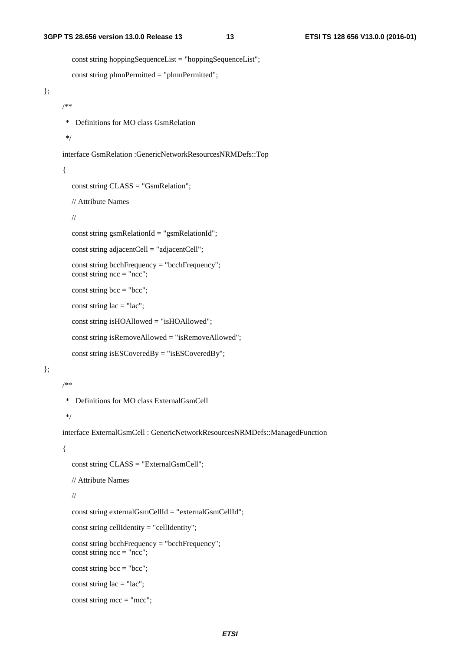```
const string hoppingSequenceList = "hoppingSequenceList";
         const string plmnPermitted = "plmnPermitted"; 
}; 
      /** 
        * Definitions for MO class GsmRelation 
        */ 
      interface GsmRelation :GenericNetworkResourcesNRMDefs::Top 
       { 
          const string CLASS = "GsmRelation"; 
         // Attribute Names 
         // 
        const string gsmRelationId = "gsmRelationId";
         const string adjacentCell = "adjacentCell"; 
         const string bcchFrequency = "bcchFrequency"; 
        const string ncc = "ncc";const string bcc = "bcc";const string lac = "lac"; const string isHOAllowed = "isHOAllowed"; 
         const string isRemoveAllowed = "isRemoveAllowed"; 
          const string isESCoveredBy = "isESCoveredBy"; 
}; 
      /** 
        * Definitions for MO class ExternalGsmCell 
        */ 
      interface ExternalGsmCell : GenericNetworkResourcesNRMDefs::ManagedFunction 
       { 
          const string CLASS = "ExternalGsmCell"; 
         // Attribute Names 
         // 
         const string externalGsmCellId = "externalGsmCellId"; 
         const string cellIdentity = "cellIdentity"; 
         const string bcchFrequency = "bcchFrequency"; 
        const string ncc = "ncc";const string bcc = "bcc";const string lac = "lac";const string mcc = "mcc";
```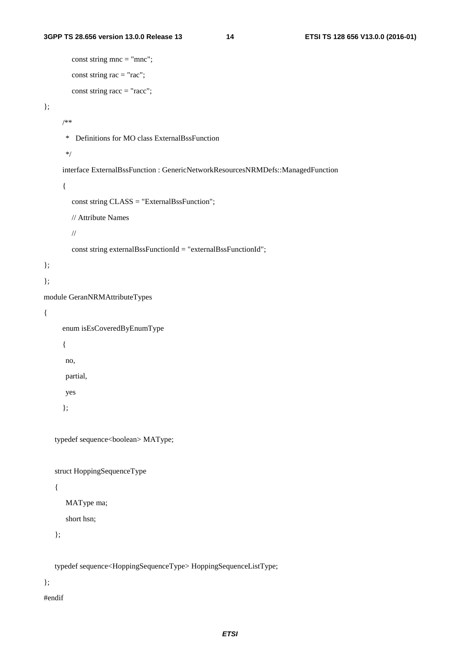```
const string mnc = "mnc";const string rac = "rac";
         const string racc = "racc";
}; 
       /** 
        * Definitions for MO class ExternalBssFunction 
        */ 
       interface ExternalBssFunction : GenericNetworkResourcesNRMDefs::ManagedFunction 
       { 
          const string CLASS = "ExternalBssFunction"; 
          // Attribute Names 
          // 
         const string externalBssFunctionId = "externalBssFunctionId";
}; 
}; 
module GeranNRMAttributeTypes 
{ 
       enum isEsCoveredByEnumType 
       { 
        no, 
        partial, 
        yes 
       }; 
    typedef sequence<boolean> MAType; 
    struct HoppingSequenceType 
    { 
        MAType ma; 
        short hsn; 
    };
```
typedef sequence<HoppingSequenceType> HoppingSequenceListType;

};

#endif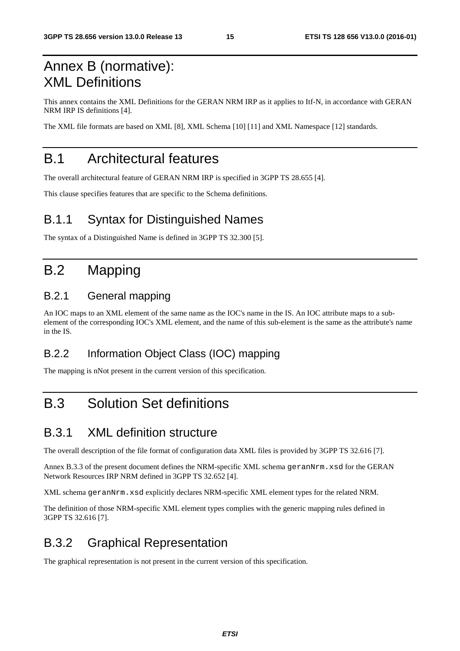# Annex B (normative): XML Definitions

This annex contains the XML Definitions for the GERAN NRM IRP as it applies to Itf-N, in accordance with GERAN NRM IRP IS definitions [4].

The XML file formats are based on XML [8], XML Schema [10] [11] and XML Namespace [12] standards.

# B.1 Architectural features

The overall architectural feature of GERAN NRM IRP is specified in 3GPP TS 28.655 [4].

This clause specifies features that are specific to the Schema definitions.

#### B.1.1 Syntax for Distinguished Names

The syntax of a Distinguished Name is defined in 3GPP TS 32.300 [5].

# B.2 Mapping

#### B.2.1 General mapping

An IOC maps to an XML element of the same name as the IOC's name in the IS. An IOC attribute maps to a subelement of the corresponding IOC's XML element, and the name of this sub-element is the same as the attribute's name in the IS.

#### B.2.2 Information Object Class (IOC) mapping

The mapping is nNot present in the current version of this specification.

# B.3 Solution Set definitions

#### B.3.1 XML definition structure

The overall description of the file format of configuration data XML files is provided by 3GPP TS 32.616 [7].

Annex B.3.3 of the present document defines the NRM-specific XML schema geranNrm.xsd for the GERAN Network Resources IRP NRM defined in 3GPP TS 32.652 [4].

XML schema geranNrm.xsd explicitly declares NRM-specific XML element types for the related NRM.

The definition of those NRM-specific XML element types complies with the generic mapping rules defined in 3GPP TS 32.616 [7].

### B.3.2 Graphical Representation

The graphical representation is not present in the current version of this specification.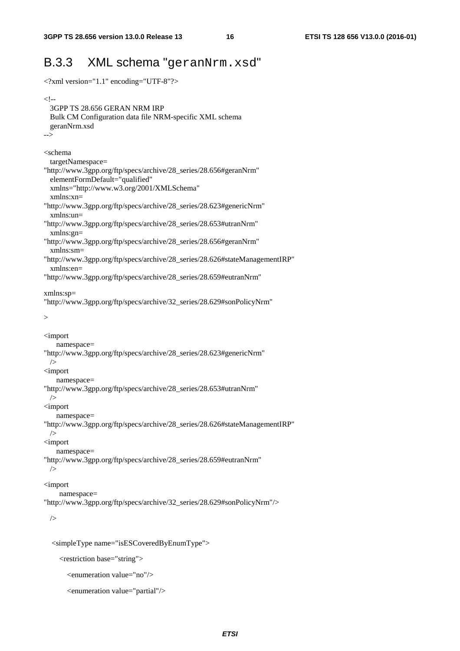### B.3.3 XML schema "geranNrm.xsd"

<?xml version="1.1" encoding="UTF-8"?>  $\leftarrow$  3GPP TS 28.656 GERAN NRM IRP Bulk CM Configuration data file NRM-specific XML schema geranNrm.xsd --> <schema targetNamespace= "http://www.3gpp.org/ftp/specs/archive/28\_series/28.656#geranNrm" elementFormDefault="qualified" xmlns="http://www.w3.org/2001/XMLSchema" xmlns:xn= "http://www.3gpp.org/ftp/specs/archive/28\_series/28.623#genericNrm" xmlns:un= "http://www.3gpp.org/ftp/specs/archive/28\_series/28.653#utranNrm" xmlns:gn= "http://www.3gpp.org/ftp/specs/archive/28\_series/28.656#geranNrm" xmlns:sm= "http://www.3gpp.org/ftp/specs/archive/28\_series/28.626#stateManagementIRP" xmlns:en= "http://www.3gpp.org/ftp/specs/archive/28\_series/28.659#eutranNrm" xmlns:sp= "http://www.3gpp.org/ftp/specs/archive/32\_series/28.629#sonPolicyNrm" > <import namespace= "http://www.3gpp.org/ftp/specs/archive/28\_series/28.623#genericNrm" /> <import namespace= "http://www.3gpp.org/ftp/specs/archive/28\_series/28.653#utranNrm" /> <import namespace= "http://www.3gpp.org/ftp/specs/archive/28\_series/28.626#stateManagementIRP" /> <import namespace= "http://www.3gpp.org/ftp/specs/archive/28\_series/28.659#eutranNrm" /> <import namespace= "http://www.3gpp.org/ftp/specs/archive/32\_series/28.629#sonPolicyNrm"/> />

<simpleType name="isESCoveredByEnumType">

<restriction base="string">

```
 <enumeration value="no"/>
```

```
 <enumeration value="partial"/>
```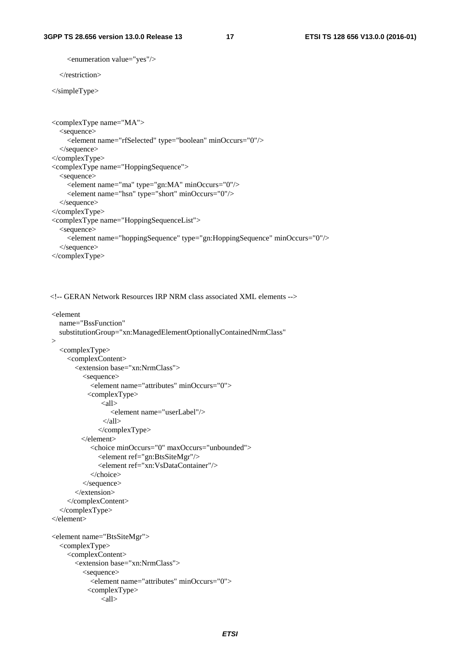<enumeration value="yes"/>

</restriction>

</simpleType>

```
 <complexType name="MA"> 
   <sequence> 
     <element name="rfSelected" type="boolean" minOccurs="0"/> 
   </sequence> 
 </complexType> 
 <complexType name="HoppingSequence"> 
   <sequence> 
     <element name="ma" type="gn:MA" minOccurs="0"/> 
     <element name="hsn" type="short" minOccurs="0"/> 
   </sequence> 
 </complexType> 
 <complexType name="HoppingSequenceList"> 
   <sequence> 
     <element name="hoppingSequence" type="gn:HoppingSequence" minOccurs="0"/> 
   </sequence> 
 </complexType>
```
<!-- GERAN Network Resources IRP NRM class associated XML elements -->

```
 <element 
   name="BssFunction" 
   substitutionGroup="xn:ManagedElementOptionallyContainedNrmClass" 
\rightarrow <complexType> 
      <complexContent> 
         <extension base="xn:NrmClass"> 
           <sequence> 
             <element name="attributes" minOccurs="0"> 
             <complexType> 
                \langleall\rangle <element name="userLabel"/> 
                 \langleall> </complexType> 
          </element> 
             <choice minOccurs="0" maxOccurs="unbounded"> 
                <element ref="gn:BtsSiteMgr"/> 
                <element ref="xn:VsDataContainer"/> 
             </choice> 
           </sequence> 
        </extension> 
      </complexContent> 
   </complexType> 
 </element> 
 <element name="BtsSiteMgr"> 
   <complexType> 
      <complexContent> 
         <extension base="xn:NrmClass"> 
           <sequence> 
              <element name="attributes" minOccurs="0"> 
             <complexType> 
                \langleall\rangle
```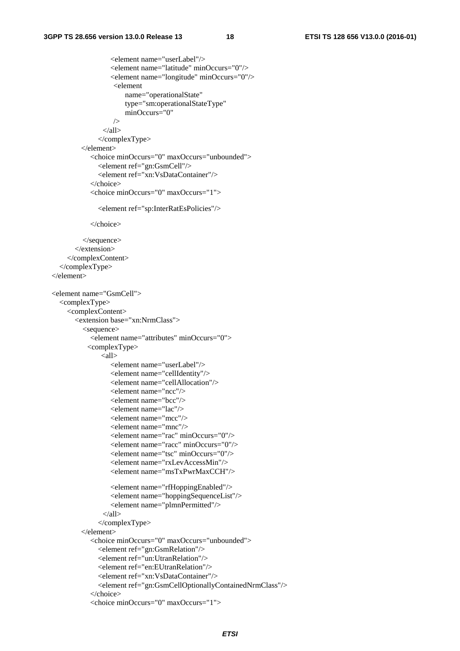<element name="userLabel"/>

```
 <element name="latitude" minOccurs="0"/> 
                     <element name="longitude" minOccurs="0"/> 
                      <element 
                          name="operationalState" 
                          type="sm:operationalStateType" 
                          minOccurs="0" 
 /> 
                  \langle \text{all} \rangle </complexType> 
            </element> 
               <choice minOccurs="0" maxOccurs="unbounded"> 
                 <element ref="gn:GsmCell"/> 
                 <element ref="xn:VsDataContainer"/> 
               </choice> 
               <choice minOccurs="0" maxOccurs="1"> 
                 <element ref="sp:InterRatEsPolicies"/> 
               </choice> 
            </sequence> 
          </extension> 
        </complexContent> 
     </complexType> 
   </element> 
   <element name="GsmCell"> 
     <complexType> 
        <complexContent> 
          <extension base="xn:NrmClass"> 
             <sequence> 
               <element name="attributes" minOccurs="0"> 
              <complexType> 
                 <all>
                     <element name="userLabel"/> 
                     <element name="cellIdentity"/> 
                     <element name="cellAllocation"/> 
                     <element name="ncc"/> 
                     <element name="bcc"/> 
                     <element name="lac"/> 
                     <element name="mcc"/> 
                     <element name="mnc"/> 
                     <element name="rac" minOccurs="0"/> 
                     <element name="racc" minOccurs="0"/> 
                     <element name="tsc" minOccurs="0"/> 
                     <element name="rxLevAccessMin"/> 
                     <element name="msTxPwrMaxCCH"/> 
                     <element name="rfHoppingEnabled"/> 
                     <element name="hoppingSequenceList"/> 
                     <element name="plmnPermitted"/> 
                  \langle \text{all} \rangle </complexType> 
            </element> 
               <choice minOccurs="0" maxOccurs="unbounded"> 
                 <element ref="gn:GsmRelation"/> 
                 <element ref="un:UtranRelation"/> 
                 <element ref="en:EUtranRelation"/> 
                 <element ref="xn:VsDataContainer"/> 
                 <element ref="gn:GsmCellOptionallyContainedNrmClass"/> 
               </choice> 
               <choice minOccurs="0" maxOccurs="1">
```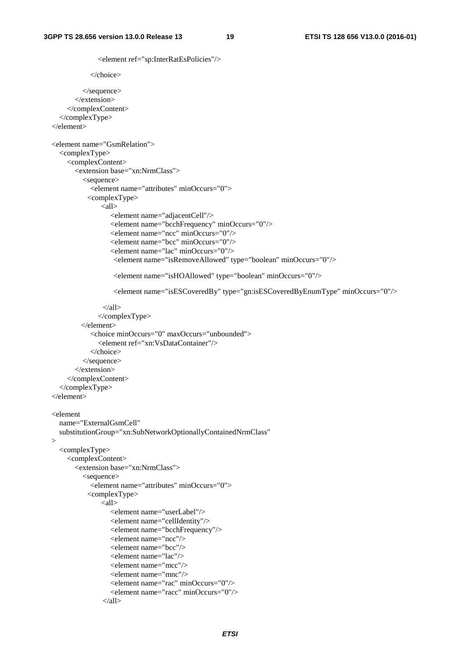<element ref="sp:InterRatEsPolicies"/> </choice> </sequence> </extension> </complexContent> </complexType> </element> <element name="GsmRelation"> <complexType> <complexContent> <extension base="xn:NrmClass"> <sequence> <element name="attributes" minOccurs="0"> <complexType>  $\langle$ all $\rangle$  <element name="adjacentCell"/> <element name="bcchFrequency" minOccurs="0"/> <element name="ncc" minOccurs="0"/> <element name="bcc" minOccurs="0"/> <element name="lac" minOccurs="0"/> <element name="isRemoveAllowed" type="boolean" minOccurs="0"/> <element name="isHOAllowed" type="boolean" minOccurs="0"/> <element name="isESCoveredBy" type="gn:isESCoveredByEnumType" minOccurs="0"/>  $\langle \text{all} \rangle$  </complexType> </element> <choice minOccurs="0" maxOccurs="unbounded"> <element ref="xn:VsDataContainer"/> </choice> </sequence> </extension> </complexContent> </complexType> </element> <element name="ExternalGsmCell" substitutionGroup="xn:SubNetworkOptionallyContainedNrmClass" > <complexType> <complexContent> <extension base="xn:NrmClass"> <sequence> <element name="attributes" minOccurs="0"> <complexType> <all> <element name="userLabel"/> <element name="cellIdentity"/> <element name="bcchFrequency"/> <element name="ncc"/> <element name="bcc"/> <element name="lac"/> <element name="mcc"/> <element name="mnc"/> <element name="rac" minOccurs="0"/>

<element name="racc" minOccurs="0"/>

 $\langle$ all $>$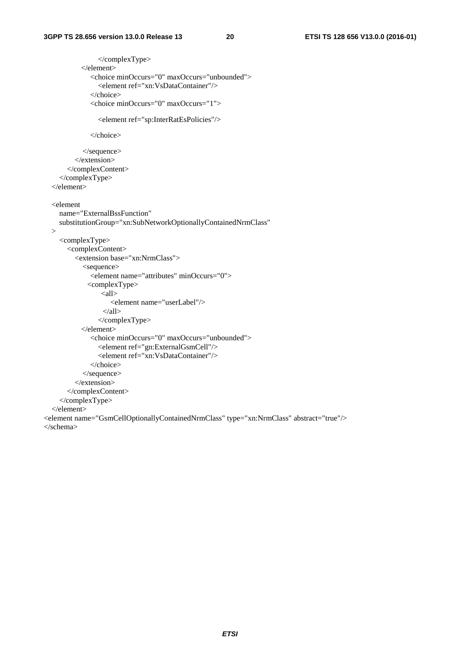```
 </complexType> 
             </element> 
                <choice minOccurs="0" maxOccurs="unbounded"> 
                  <element ref="xn:VsDataContainer"/> 
                </choice> 
                <choice minOccurs="0" maxOccurs="1"> 
                  <element ref="sp:InterRatEsPolicies"/> 
                </choice> 
             </sequence> 
          </extension> 
        </complexContent> 
      </complexType> 
   </element> 
   <element 
     name="ExternalBssFunction" 
     substitutionGroup="xn:SubNetworkOptionallyContainedNrmClass" 
   > 
      <complexType> 
        <complexContent> 
          <extension base="xn:NrmClass"> 
             <sequence> 
                <element name="attributes" minOccurs="0"> 
               <complexType> 
                  \langleall\rangle <element name="userLabel"/> 
                   \langle \text{all} \rangle </complexType> 
             </element> 
                <choice minOccurs="0" maxOccurs="unbounded"> 
                  <element ref="gn:ExternalGsmCell"/> 
                  <element ref="xn:VsDataContainer"/> 
                </choice> 
             </sequence> 
          </extension> 
        </complexContent> 
      </complexType> 
   </element> 
<element name="GsmCellOptionallyContainedNrmClass" type="xn:NrmClass" abstract="true"/> 
</schema>
```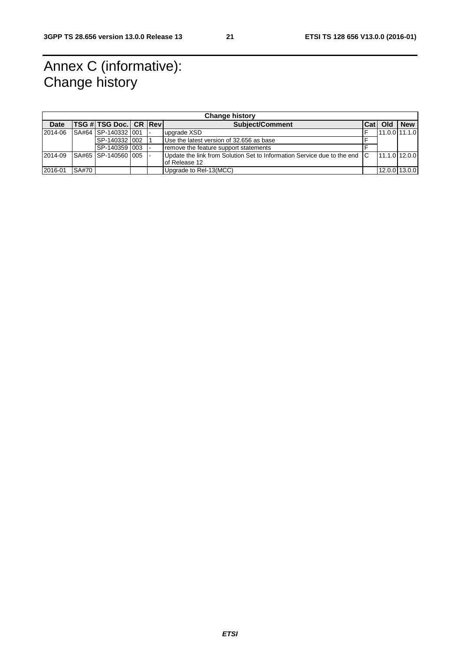# Annex C (informative): Change history

| <b>Change history</b> |              |                                  |  |  |                                                                                            |     |     |                 |
|-----------------------|--------------|----------------------------------|--|--|--------------------------------------------------------------------------------------------|-----|-----|-----------------|
| <b>Date</b>           |              | <b>TSG # TSG Doc. CR Reville</b> |  |  | <b>Subiect/Comment</b>                                                                     | Cat | Old | <b>New</b>      |
| 2014-06               |              | SA#64 SP-140332 1001             |  |  | upgrade XSD                                                                                |     |     | 11.0.0111.1.0   |
|                       |              | ISP-140332 I002                  |  |  | Use the latest version of 32.656 as base                                                   |     |     |                 |
|                       |              | ISP-140359 003 -                 |  |  | remove the feature support statements                                                      |     |     |                 |
| 2014-09               |              | SA#65 SP-140560 005              |  |  | Update the link from Solution Set to Information Service due to the end C<br>of Release 12 |     |     | 11.1.0 12.0.0   |
| 2016-01               | <b>SA#70</b> |                                  |  |  | Upgrade to Rel-13(MCC)                                                                     |     |     | $12.0.0$ 13.0.0 |